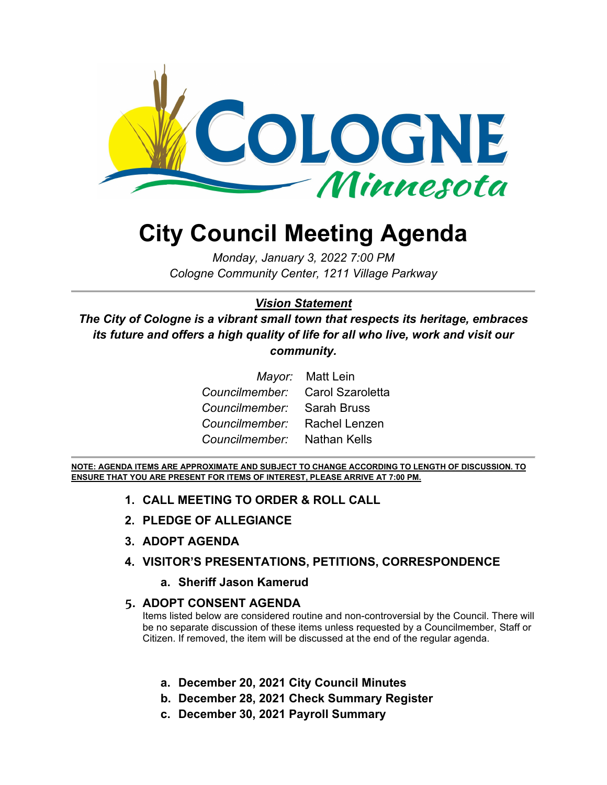

# **City Council Meeting Agenda**

*Monday, January 3, 2022 7:00 PM Cologne Community Center, 1211 Village Parkway*

#### *Vision Statement*

*The City of Cologne is a vibrant small town that respects its heritage, embraces its future and offers a high quality of life for all who live, work and visit our community.*

|                                 | <i>Mayor:</i> Matt Lein |
|---------------------------------|-------------------------|
| Councilmember: Carol Szaroletta |                         |
| Councilmember: Sarah Bruss      |                         |
| Councilmember: Rachel Lenzen    |                         |
| Councilmember: Nathan Kells     |                         |

**NOTE: AGENDA ITEMS ARE APPROXIMATE AND SUBJECT TO CHANGE ACCORDING TO LENGTH OF DISCUSSION. TO ENSURE THAT YOU ARE PRESENT FOR ITEMS OF INTEREST, PLEASE ARRIVE AT 7:00 PM.**

- **1. CALL MEETING TO ORDER & ROLL CALL**
- **2. PLEDGE OF ALLEGIANCE**
- **3. ADOPT AGENDA**
- **4. VISITOR'S PRESENTATIONS, PETITIONS, CORRESPONDENCE**
	- **a. Sheriff Jason Kamerud**

#### **5. ADOPT CONSENT AGENDA**

Items listed below are considered routine and non-controversial by the Council. There will be no separate discussion of these items unless requested by a Councilmember, Staff or Citizen. If removed, the item will be discussed at the end of the regular agenda.

- **a. December 20, 2021 City Council Minutes**
- **b. December 28, 2021 Check Summary Register**
- **c. December 30, 2021 Payroll Summary**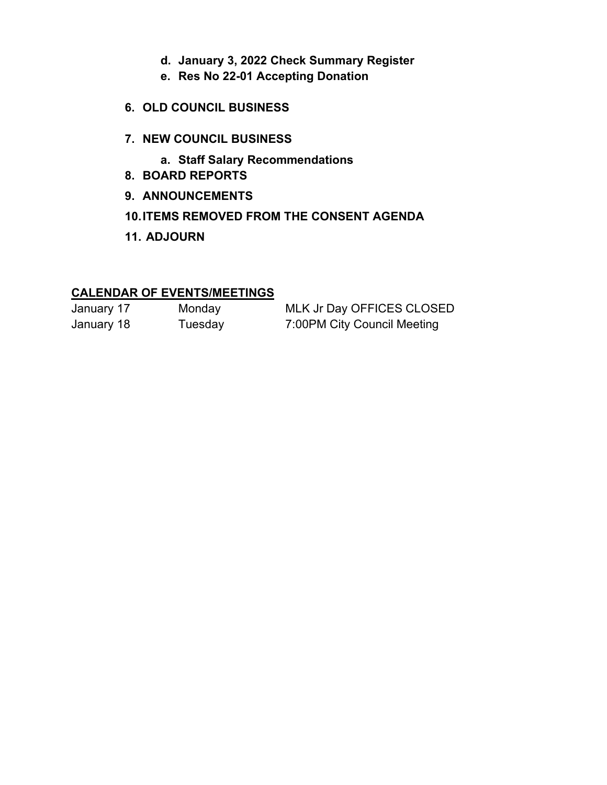- **d. January 3, 2022 Check Summary Register**
- **e. Res No 22-01 Accepting Donation**
- **6. OLD COUNCIL BUSINESS**
- **7. NEW COUNCIL BUSINESS**
	- **a. Staff Salary Recommendations**
- **8. BOARD REPORTS**
- **9. ANNOUNCEMENTS**
- **10.ITEMS REMOVED FROM THE CONSENT AGENDA**
- **11. ADJOURN**

#### **CALENDAR OF EVENTS/MEETINGS**

| January 17 | Monday  | MLK Jr Day OFFICES CLOSED   |
|------------|---------|-----------------------------|
| January 18 | Tuesday | 7:00PM City Council Meeting |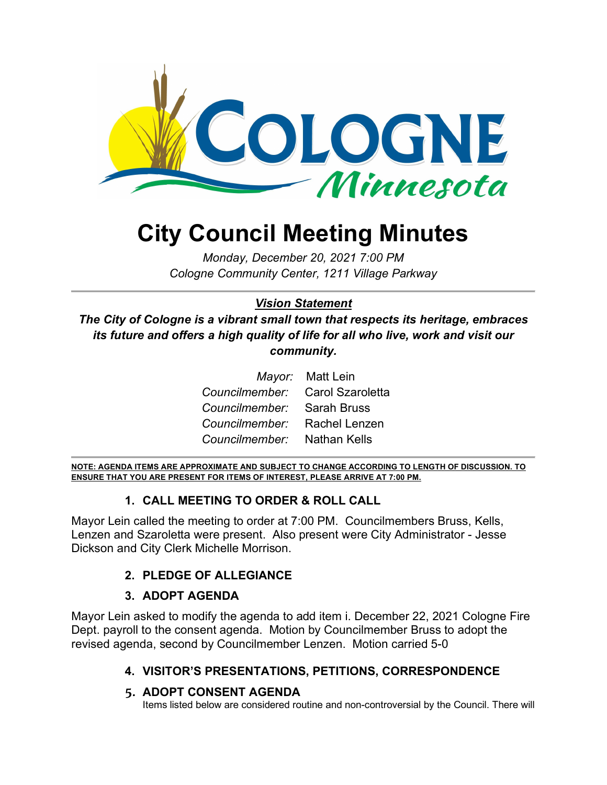

# **City Council Meeting Minutes**

*Monday, December 20, 2021 7:00 PM Cologne Community Center, 1211 Village Parkway*

## *Vision Statement*

*The City of Cologne is a vibrant small town that respects its heritage, embraces its future and offers a high quality of life for all who live, work and visit our community.*

|                                 | Mayor: Matt Lein |
|---------------------------------|------------------|
| Councilmember: Carol Szaroletta |                  |
| Councilmember: Sarah Bruss      |                  |
| Councilmember: Rachel Lenzen    |                  |
| Councilmember: Nathan Kells     |                  |

**NOTE: AGENDA ITEMS ARE APPROXIMATE AND SUBJECT TO CHANGE ACCORDING TO LENGTH OF DISCUSSION. TO ENSURE THAT YOU ARE PRESENT FOR ITEMS OF INTEREST, PLEASE ARRIVE AT 7:00 PM.**

#### **1. CALL MEETING TO ORDER & ROLL CALL**

Mayor Lein called the meeting to order at 7:00 PM. Councilmembers Bruss, Kells, Lenzen and Szaroletta were present. Also present were City Administrator - Jesse Dickson and City Clerk Michelle Morrison.

#### **2. PLEDGE OF ALLEGIANCE**

#### **3. ADOPT AGENDA**

Mayor Lein asked to modify the agenda to add item i. December 22, 2021 Cologne Fire Dept. payroll to the consent agenda. Motion by Councilmember Bruss to adopt the revised agenda, second by Councilmember Lenzen. Motion carried 5-0

#### **4. VISITOR'S PRESENTATIONS, PETITIONS, CORRESPONDENCE**

#### **5. ADOPT CONSENT AGENDA**

Items listed below are considered routine and non-controversial by the Council. There will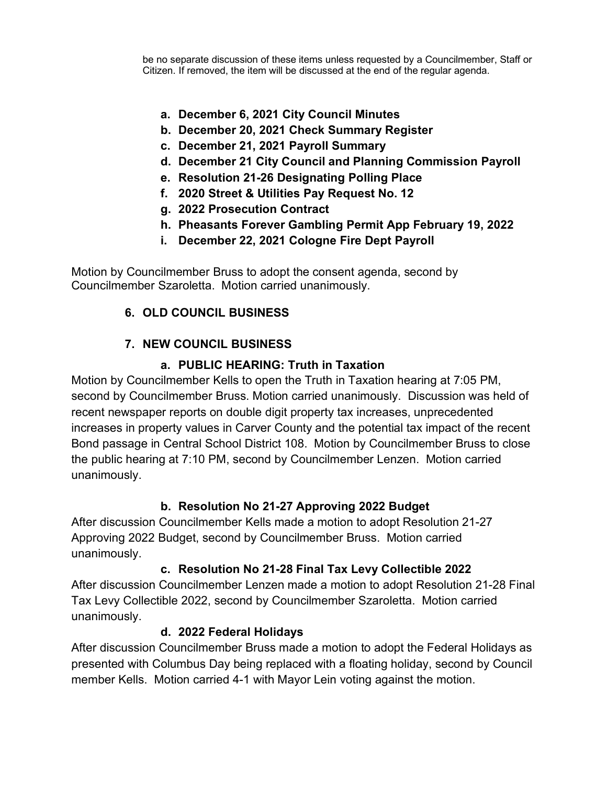be no separate discussion of these items unless requested by a Councilmember, Staff or Citizen. If removed, the item will be discussed at the end of the regular agenda.

- **a. December 6, 2021 City Council Minutes**
- **b. December 20, 2021 Check Summary Register**
- **c. December 21, 2021 Payroll Summary**
- **d. December 21 City Council and Planning Commission Payroll**
- **e. Resolution 21-26 Designating Polling Place**
- **f. 2020 Street & Utilities Pay Request No. 12**
- **g. 2022 Prosecution Contract**
- **h. Pheasants Forever Gambling Permit App February 19, 2022**
- **i. December 22, 2021 Cologne Fire Dept Payroll**

Motion by Councilmember Bruss to adopt the consent agenda, second by Councilmember Szaroletta. Motion carried unanimously.

#### **6. OLD COUNCIL BUSINESS**

#### **7. NEW COUNCIL BUSINESS**

#### **a. PUBLIC HEARING: Truth in Taxation**

Motion by Councilmember Kells to open the Truth in Taxation hearing at 7:05 PM, second by Councilmember Bruss. Motion carried unanimously. Discussion was held of recent newspaper reports on double digit property tax increases, unprecedented increases in property values in Carver County and the potential tax impact of the recent Bond passage in Central School District 108. Motion by Councilmember Bruss to close the public hearing at 7:10 PM, second by Councilmember Lenzen. Motion carried unanimously.

#### **b. Resolution No 21-27 Approving 2022 Budget**

After discussion Councilmember Kells made a motion to adopt Resolution 21-27 Approving 2022 Budget, second by Councilmember Bruss. Motion carried unanimously.

#### **c. Resolution No 21-28 Final Tax Levy Collectible 2022**

After discussion Councilmember Lenzen made a motion to adopt Resolution 21-28 Final Tax Levy Collectible 2022, second by Councilmember Szaroletta. Motion carried unanimously.

#### **d. 2022 Federal Holidays**

After discussion Councilmember Bruss made a motion to adopt the Federal Holidays as presented with Columbus Day being replaced with a floating holiday, second by Council member Kells. Motion carried 4-1 with Mayor Lein voting against the motion.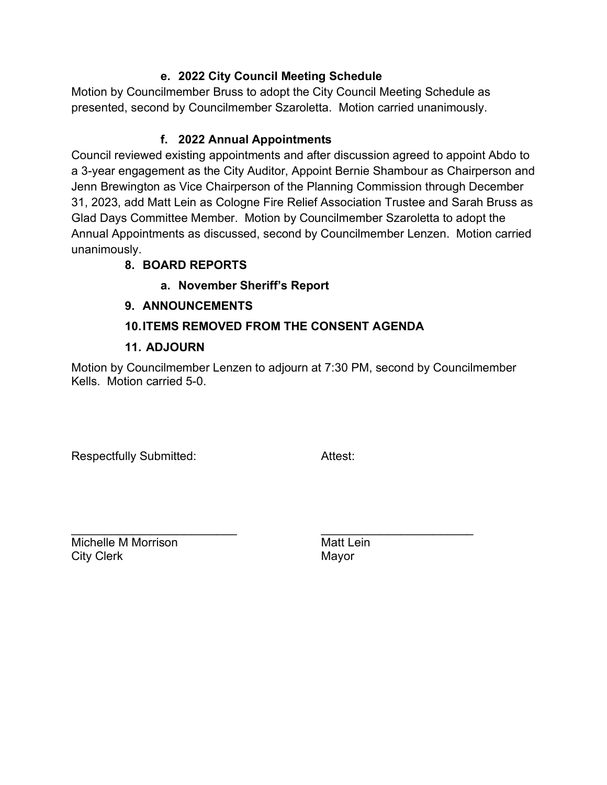#### **e. 2022 City Council Meeting Schedule**

Motion by Councilmember Bruss to adopt the City Council Meeting Schedule as presented, second by Councilmember Szaroletta. Motion carried unanimously.

#### **f. 2022 Annual Appointments**

Council reviewed existing appointments and after discussion agreed to appoint Abdo to a 3-year engagement as the City Auditor, Appoint Bernie Shambour as Chairperson and Jenn Brewington as Vice Chairperson of the Planning Commission through December 31, 2023, add Matt Lein as Cologne Fire Relief Association Trustee and Sarah Bruss as Glad Days Committee Member. Motion by Councilmember Szaroletta to adopt the Annual Appointments as discussed, second by Councilmember Lenzen. Motion carried unanimously.

#### **8. BOARD REPORTS**

#### **a. November Sheriff's Report**

#### **9. ANNOUNCEMENTS**

#### **10.ITEMS REMOVED FROM THE CONSENT AGENDA**

#### **11. ADJOURN**

Motion by Councilmember Lenzen to adjourn at 7:30 PM, second by Councilmember Kells. Motion carried 5-0.

Respectfully Submitted: The Attest: Attest:

\_\_\_\_\_\_\_\_\_\_\_\_\_\_\_\_\_\_\_\_\_\_\_\_\_ \_\_\_\_\_\_\_\_\_\_\_\_\_\_\_\_\_\_\_\_\_\_\_ Michelle M Morrison **Matt Lein** City Clerk **Mayor** Mayor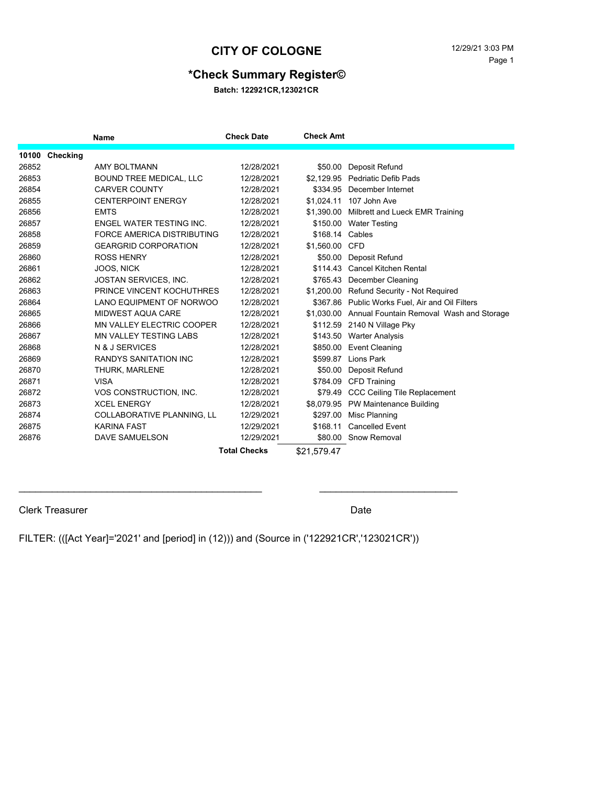#### **CITY OF COLOGNE** 12/29/21 3:03 PM

#### **\*Check Summary Register©**

**Batch: 122921CR,123021CR**

|       |                | Name                             | <b>Check Date</b>   | <b>Check Amt</b> |                                                     |
|-------|----------------|----------------------------------|---------------------|------------------|-----------------------------------------------------|
|       | 10100 Checking |                                  |                     |                  |                                                     |
| 26852 |                | <b>AMY BOLTMANN</b>              | 12/28/2021          | \$50.00          | Deposit Refund                                      |
| 26853 |                | BOUND TREE MEDICAL, LLC          | 12/28/2021          |                  | \$2.129.95 Pedriatic Defib Pads                     |
| 26854 |                | <b>CARVER COUNTY</b>             | 12/28/2021          |                  | \$334.95 December Internet                          |
| 26855 |                | <b>CENTERPOINT ENERGY</b>        | 12/28/2021          | \$1,024.11       | 107 John Ave                                        |
| 26856 |                | <b>EMTS</b>                      | 12/28/2021          | \$1.390.00       | Milbrett and Lueck EMR Training                     |
| 26857 |                | ENGEL WATER TESTING INC.         | 12/28/2021          |                  | \$150.00 Water Testing                              |
| 26858 |                | FORCE AMERICA DISTRIBUTING       | 12/28/2021          | \$168.14 Cables  |                                                     |
| 26859 |                | <b>GEARGRID CORPORATION</b>      | 12/28/2021          | \$1,560.00 CFD   |                                                     |
| 26860 |                | <b>ROSS HENRY</b>                | 12/28/2021          | \$50.00          | Deposit Refund                                      |
| 26861 |                | JOOS, NICK                       | 12/28/2021          |                  | \$114.43 Cancel Kitchen Rental                      |
| 26862 |                | JOSTAN SERVICES, INC.            | 12/28/2021          | \$765.43         | December Cleaning                                   |
| 26863 |                | PRINCE VINCENT KOCHUTHRES        | 12/28/2021          |                  | \$1,200.00 Refund Security - Not Required           |
| 26864 |                | LANO EQUIPMENT OF NORWOO         | 12/28/2021          |                  | \$367.86 Public Works Fuel, Air and Oil Filters     |
| 26865 |                | MIDWEST AQUA CARE                | 12/28/2021          |                  | \$1,030.00 Annual Fountain Removal Wash and Storage |
| 26866 |                | <b>MN VALLEY ELECTRIC COOPER</b> | 12/28/2021          |                  | \$112.59 2140 N Village Pky                         |
| 26867 |                | <b>MN VALLEY TESTING LABS</b>    | 12/28/2021          |                  | \$143.50 Warter Analysis                            |
| 26868 |                | N & J SERVICES                   | 12/28/2021          | \$850.00         | <b>Event Cleaning</b>                               |
| 26869 |                | <b>RANDYS SANITATION INC</b>     | 12/28/2021          | \$599.87         | Lions Park                                          |
| 26870 |                | THURK, MARLENE                   | 12/28/2021          | \$50.00          | Deposit Refund                                      |
| 26871 |                | <b>VISA</b>                      | 12/28/2021          | \$784.09         | <b>CFD Training</b>                                 |
| 26872 |                | VOS CONSTRUCTION, INC.           | 12/28/2021          | \$79.49          | <b>CCC Ceiling Tile Replacement</b>                 |
| 26873 |                | <b>XCEL ENERGY</b>               | 12/28/2021          |                  | \$8,079.95 PW Maintenance Building                  |
| 26874 |                | COLLABORATIVE PLANNING, LL       | 12/29/2021          | \$297.00         | Misc Planning                                       |
| 26875 |                | <b>KARINA FAST</b>               | 12/29/2021          | \$168.11         | <b>Cancelled Event</b>                              |
| 26876 |                | DAVE SAMUELSON                   | 12/29/2021          |                  | \$80.00 Snow Removal                                |
|       |                |                                  | <b>Total Checks</b> | \$21,579.47      |                                                     |

Clerk Treasurer Date

FILTER: (([Act Year]='2021' and [period] in (12))) and (Source in ('122921CR','123021CR'))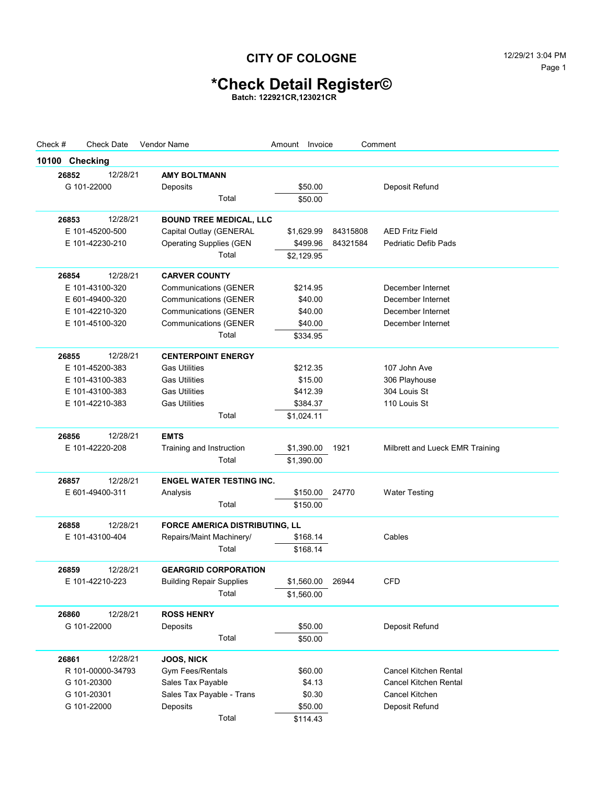## **CITY OF COLOGNE** 12/29/21 3:04 PM

# **\*Check Detail Register©**

**Batch: 122921CR,123021CR**

| Check #        | <b>Check Date</b> | Vendor Name                     | Amount Invoice |          | Comment                         |
|----------------|-------------------|---------------------------------|----------------|----------|---------------------------------|
| 10100 Checking |                   |                                 |                |          |                                 |
| 26852          | 12/28/21          | <b>AMY BOLTMANN</b>             |                |          |                                 |
|                | G 101-22000       | Deposits                        | \$50.00        |          | Deposit Refund                  |
|                |                   | Total                           | \$50.00        |          |                                 |
| 26853          | 12/28/21          | <b>BOUND TREE MEDICAL, LLC</b>  |                |          |                                 |
|                | E 101-45200-500   | Capital Outlay (GENERAL         | \$1,629.99     | 84315808 | <b>AED Fritz Field</b>          |
|                | E 101-42230-210   | <b>Operating Supplies (GEN</b>  | \$499.96       | 84321584 | <b>Pedriatic Defib Pads</b>     |
|                |                   | Total                           | \$2,129.95     |          |                                 |
| 26854          | 12/28/21          | <b>CARVER COUNTY</b>            |                |          |                                 |
|                | E 101-43100-320   | <b>Communications (GENER</b>    | \$214.95       |          | December Internet               |
|                | E 601-49400-320   | <b>Communications (GENER</b>    | \$40.00        |          | December Internet               |
|                | E 101-42210-320   | <b>Communications (GENER</b>    | \$40.00        |          | December Internet               |
|                | E 101-45100-320   | <b>Communications (GENER</b>    | \$40.00        |          | December Internet               |
|                |                   | Total                           | \$334.95       |          |                                 |
| 26855          | 12/28/21          | <b>CENTERPOINT ENERGY</b>       |                |          |                                 |
|                | E 101-45200-383   | <b>Gas Utilities</b>            | \$212.35       |          | 107 John Ave                    |
|                | E 101-43100-383   | <b>Gas Utilities</b>            | \$15.00        |          | 306 Playhouse                   |
|                | E 101-43100-383   | <b>Gas Utilities</b>            | \$412.39       |          | 304 Louis St                    |
|                | E 101-42210-383   | <b>Gas Utilities</b>            | \$384.37       |          | 110 Louis St                    |
|                |                   | Total                           | \$1,024.11     |          |                                 |
| 26856          | 12/28/21          | <b>EMTS</b>                     |                |          |                                 |
|                | E 101-42220-208   | Training and Instruction        | \$1,390.00     | 1921     | Milbrett and Lueck EMR Training |
|                |                   | Total                           | \$1,390.00     |          |                                 |
| 26857          | 12/28/21          | <b>ENGEL WATER TESTING INC.</b> |                |          |                                 |
|                | E 601-49400-311   | Analysis                        | \$150.00       | 24770    | <b>Water Testing</b>            |
|                |                   | Total                           | \$150.00       |          |                                 |
| 26858          | 12/28/21          | FORCE AMERICA DISTRIBUTING, LL  |                |          |                                 |
|                | E 101-43100-404   | Repairs/Maint Machinery/        | \$168.14       |          | Cables                          |
|                |                   | Total                           | \$168.14       |          |                                 |
| 26859          | 12/28/21          | <b>GEARGRID CORPORATION</b>     |                |          |                                 |
|                | E 101-42210-223   | <b>Building Repair Supplies</b> | \$1,560.00     | 26944    | <b>CFD</b>                      |
|                |                   | Total                           | \$1,560.00     |          |                                 |
| 26860          | 12/28/21          | <b>ROSS HENRY</b>               |                |          |                                 |
|                | G 101-22000       | Deposits                        | \$50.00        |          | Deposit Refund                  |
|                |                   | Total                           | \$50.00        |          |                                 |
| 26861          | 12/28/21          | JOOS, NICK                      |                |          |                                 |
|                | R 101-00000-34793 | Gym Fees/Rentals                | \$60.00        |          | Cancel Kitchen Rental           |
|                | G 101-20300       | Sales Tax Payable               | \$4.13         |          | <b>Cancel Kitchen Rental</b>    |
|                | G 101-20301       | Sales Tax Payable - Trans       | \$0.30         |          | Cancel Kitchen                  |
|                | G 101-22000       | Deposits                        | \$50.00        |          | Deposit Refund                  |
|                |                   | Total                           | \$114.43       |          |                                 |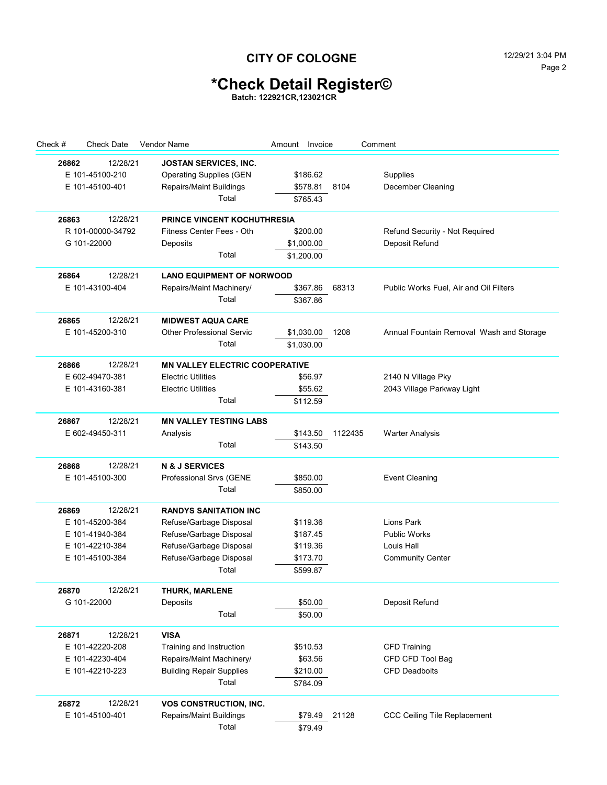## **CITY OF COLOGNE** 12/29/21 3:04 PM

# **\*Check Detail Register©**

**Batch: 122921CR,123021CR**

| Check #<br><b>Check Date</b> | Vendor Name                           | Amount Invoice |         | Comment                                  |
|------------------------------|---------------------------------------|----------------|---------|------------------------------------------|
| 12/28/21<br>26862            | JOSTAN SERVICES, INC.                 |                |         |                                          |
| E 101-45100-210              | <b>Operating Supplies (GEN</b>        | \$186.62       |         | Supplies                                 |
| E 101-45100-401              | Repairs/Maint Buildings               | \$578.81       | 8104    | December Cleaning                        |
|                              | Total                                 | \$765.43       |         |                                          |
|                              |                                       |                |         |                                          |
| 12/28/21<br>26863            | <b>PRINCE VINCENT KOCHUTHRESIA</b>    | \$200.00       |         |                                          |
| R 101-00000-34792            | Fitness Center Fees - Oth             |                |         | Refund Security - Not Required           |
| G 101-22000                  | Deposits                              | \$1,000.00     |         | Deposit Refund                           |
|                              | Total                                 | \$1,200.00     |         |                                          |
| 26864<br>12/28/21            | <b>LANO EQUIPMENT OF NORWOOD</b>      |                |         |                                          |
| E 101-43100-404              | Repairs/Maint Machinery/              | \$367.86       | 68313   | Public Works Fuel, Air and Oil Filters   |
|                              | Total                                 | \$367.86       |         |                                          |
| 26865<br>12/28/21            | <b>MIDWEST AQUA CARE</b>              |                |         |                                          |
| E 101-45200-310              | <b>Other Professional Servic</b>      | \$1,030.00     | 1208    | Annual Fountain Removal Wash and Storage |
|                              | Total                                 | \$1,030.00     |         |                                          |
| 12/28/21<br>26866            | <b>MN VALLEY ELECTRIC COOPERATIVE</b> |                |         |                                          |
| E 602-49470-381              | <b>Electric Utilities</b>             | \$56.97        |         | 2140 N Village Pky                       |
| E 101-43160-381              | <b>Electric Utilities</b>             | \$55.62        |         | 2043 Village Parkway Light               |
|                              | Total                                 | \$112.59       |         |                                          |
|                              |                                       |                |         |                                          |
| 12/28/21<br>26867            | <b>MN VALLEY TESTING LABS</b>         |                |         |                                          |
| E 602-49450-311              | Analysis                              | \$143.50       | 1122435 | <b>Warter Analysis</b>                   |
|                              | Total                                 | \$143.50       |         |                                          |
| 12/28/21<br>26868            | <b>N &amp; J SERVICES</b>             |                |         |                                          |
| E 101-45100-300              | Professional Srvs (GENE               | \$850.00       |         | <b>Event Cleaning</b>                    |
|                              | Total                                 | \$850.00       |         |                                          |
| 12/28/21<br>26869            | <b>RANDYS SANITATION INC</b>          |                |         |                                          |
| E 101-45200-384              | Refuse/Garbage Disposal               | \$119.36       |         | Lions Park                               |
| E 101-41940-384              | Refuse/Garbage Disposal               | \$187.45       |         | <b>Public Works</b>                      |
| E 101-42210-384              | Refuse/Garbage Disposal               | \$119.36       |         | Louis Hall                               |
| E 101-45100-384              | Refuse/Garbage Disposal               | \$173.70       |         | <b>Community Center</b>                  |
|                              | Total                                 | \$599.87       |         |                                          |
| 12/28/21<br>26870            | THURK, MARLENE                        |                |         |                                          |
| G 101-22000                  | Deposits                              | \$50.00        |         | Deposit Refund                           |
|                              | Total                                 | \$50.00        |         |                                          |
|                              |                                       |                |         |                                          |
| 12/28/21<br>26871            | <b>VISA</b>                           |                |         |                                          |
| E 101-42220-208              | Training and Instruction              | \$510.53       |         | <b>CFD Training</b>                      |
| E 101-42230-404              | Repairs/Maint Machinery/              | \$63.56        |         | CFD CFD Tool Bag                         |
| E 101-42210-223              | <b>Building Repair Supplies</b>       | \$210.00       |         | <b>CFD Deadbolts</b>                     |
|                              | Total                                 | \$784.09       |         |                                          |
| 12/28/21<br>26872            | VOS CONSTRUCTION, INC.                |                |         |                                          |
| E 101-45100-401              | Repairs/Maint Buildings               | \$79.49        | 21128   | CCC Ceiling Tile Replacement             |
|                              | Total                                 | \$79.49        |         |                                          |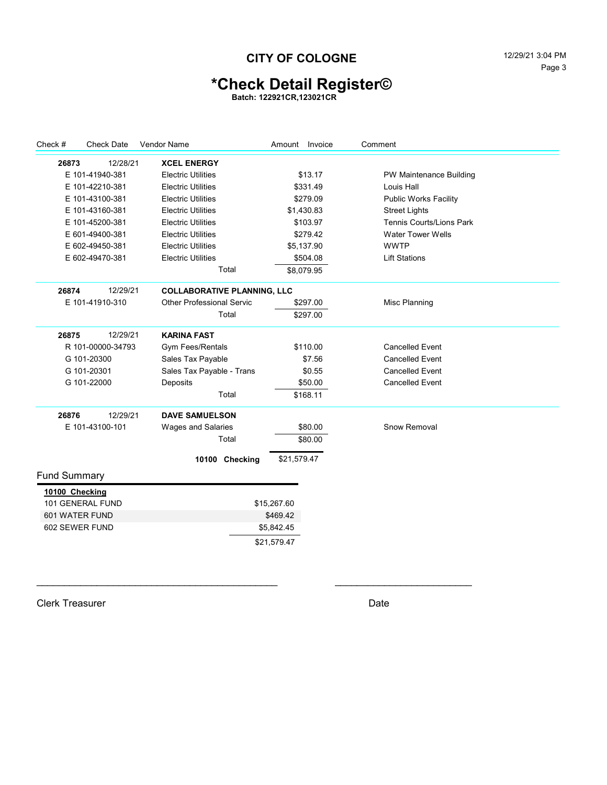### **CITY OF COLOGNE** 12/29/21 3:04 PM

# **\*Check Detail Register©**

**Batch: 122921CR,123021CR**

| Check #             | <b>Check Date</b> | <b>Vendor Name</b>                 | Amount Invoice | Comment                         |  |
|---------------------|-------------------|------------------------------------|----------------|---------------------------------|--|
| 26873               | 12/28/21          | <b>XCEL ENERGY</b>                 |                |                                 |  |
|                     | E 101-41940-381   | <b>Electric Utilities</b>          | \$13.17        | PW Maintenance Building         |  |
|                     | E 101-42210-381   | <b>Electric Utilities</b>          | \$331.49       | Louis Hall                      |  |
|                     | E 101-43100-381   | <b>Electric Utilities</b>          | \$279.09       | <b>Public Works Facility</b>    |  |
|                     | E 101-43160-381   | <b>Electric Utilities</b>          | \$1,430.83     | <b>Street Lights</b>            |  |
|                     | E 101-45200-381   | <b>Electric Utilities</b>          | \$103.97       | <b>Tennis Courts/Lions Park</b> |  |
|                     | E 601-49400-381   | <b>Electric Utilities</b>          | \$279.42       | <b>Water Tower Wells</b>        |  |
|                     | E 602-49450-381   | <b>Electric Utilities</b>          | \$5,137.90     | <b>WWTP</b>                     |  |
|                     | E 602-49470-381   | <b>Electric Utilities</b>          | \$504.08       | <b>Lift Stations</b>            |  |
|                     |                   | Total                              | \$8,079.95     |                                 |  |
| 26874               | 12/29/21          | <b>COLLABORATIVE PLANNING, LLC</b> |                |                                 |  |
|                     | E 101-41910-310   | <b>Other Professional Servic</b>   | \$297.00       | Misc Planning                   |  |
|                     |                   | Total                              | \$297.00       |                                 |  |
| 26875               | 12/29/21          | <b>KARINA FAST</b>                 |                |                                 |  |
|                     | R 101-00000-34793 | <b>Gym Fees/Rentals</b>            | \$110.00       | <b>Cancelled Event</b>          |  |
|                     | G 101-20300       | Sales Tax Payable                  | \$7.56         | <b>Cancelled Event</b>          |  |
|                     | G 101-20301       | Sales Tax Payable - Trans          | \$0.55         | <b>Cancelled Event</b>          |  |
|                     | G 101-22000       | Deposits                           | \$50.00        | <b>Cancelled Event</b>          |  |
|                     |                   | Total                              | \$168.11       |                                 |  |
| 26876               | 12/29/21          | <b>DAVE SAMUELSON</b>              |                |                                 |  |
|                     | E 101-43100-101   | Wages and Salaries                 | \$80.00        | Snow Removal                    |  |
|                     |                   | Total                              | \$80.00        |                                 |  |
|                     |                   | 10100 Checking                     | \$21,579.47    |                                 |  |
| <b>Fund Summary</b> |                   |                                    |                |                                 |  |
| 10100 Checking      |                   |                                    |                |                                 |  |
|                     | 101 GENERAL FUND  |                                    | \$15,267.60    |                                 |  |
| 601 WATER FUND      |                   |                                    | \$469.42       |                                 |  |
| 602 SEWER FUND      |                   |                                    | \$5,842.45     |                                 |  |
|                     |                   |                                    | \$21,579.47    |                                 |  |
|                     |                   |                                    |                |                                 |  |

\_\_\_\_\_\_\_\_\_\_\_\_\_\_\_\_\_\_\_\_\_\_\_\_\_\_\_\_\_\_\_\_\_\_\_\_\_\_\_\_\_\_\_\_ \_\_\_\_\_\_\_\_\_\_\_\_\_\_\_\_\_\_\_\_\_\_\_\_\_

Clerk Treasurer Date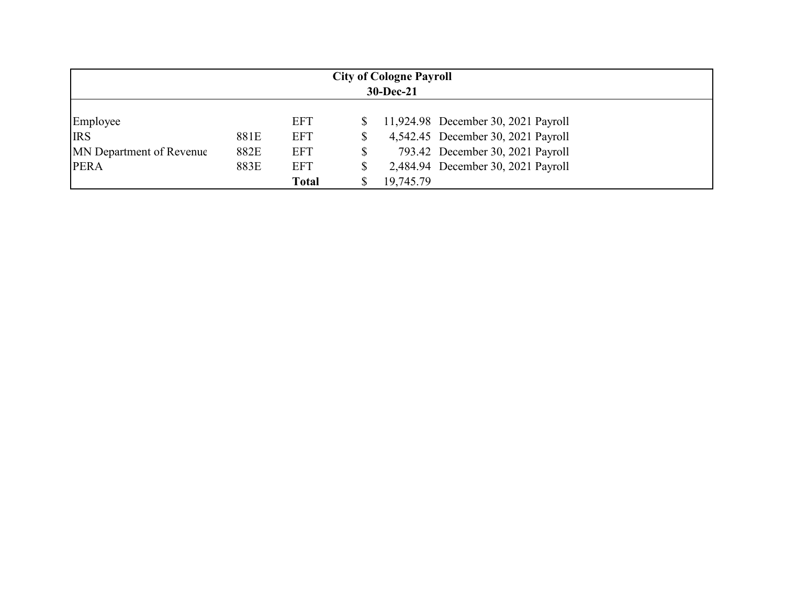| <b>City of Cologne Payroll</b><br>$30 - Dec-21$ |      |              |    |           |                                     |  |
|-------------------------------------------------|------|--------------|----|-----------|-------------------------------------|--|
| Employee                                        |      | <b>EFT</b>   |    |           | 11,924.98 December 30, 2021 Payroll |  |
| <b>IRS</b>                                      | 881E | <b>EFT</b>   | \$ |           | 4,542.45 December 30, 2021 Payroll  |  |
| <b>MN</b> Department of Revenue                 | 882E | <b>EFT</b>   | \$ |           | 793.42 December 30, 2021 Payroll    |  |
| <b>PERA</b>                                     | 883E | <b>EFT</b>   | \$ |           | 2,484.94 December 30, 2021 Payroll  |  |
|                                                 |      | <b>Total</b> |    | 19,745.79 |                                     |  |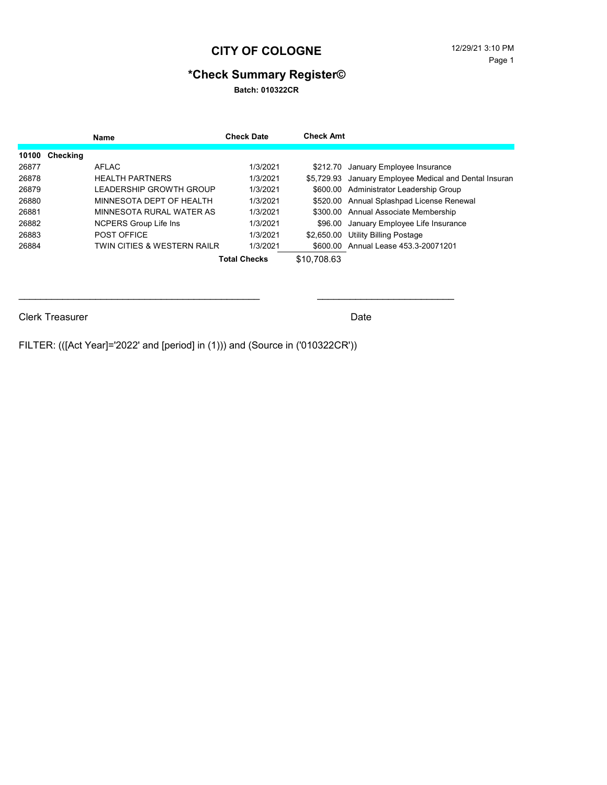#### **CITY OF COLOGNE** 12/29/21 3:10 PM

## **\*Check Summary Register©**

**Batch: 010322CR**

|       |          | Name                         | <b>Check Date</b>   | <b>Check Amt</b> |                                                        |
|-------|----------|------------------------------|---------------------|------------------|--------------------------------------------------------|
| 10100 | Checking |                              |                     |                  |                                                        |
| 26877 |          | AFLAC                        | 1/3/2021            |                  | \$212.70 January Employee Insurance                    |
| 26878 |          | <b>HEALTH PARTNERS</b>       | 1/3/2021            |                  | \$5,729.93 January Employee Medical and Dental Insuran |
| 26879 |          | I FADERSHIP GROWTH GROUP     | 1/3/2021            |                  | \$600.00 Administrator Leadership Group                |
| 26880 |          | MINNESOTA DEPT OF HEAI TH    | 1/3/2021            |                  | \$520.00 Annual Splashpad License Renewal              |
| 26881 |          | MINNESOTA RURAL WATER AS     | 1/3/2021            |                  | \$300.00 Annual Associate Membership                   |
| 26882 |          | <b>NCPERS Group Life Ins</b> | 1/3/2021            |                  | \$96.00 January Employee Life Insurance                |
| 26883 |          | POST OFFICE                  | 1/3/2021            | \$2,650.00       | Utility Billing Postage                                |
| 26884 |          | TWIN CITIES & WESTERN RAILR  | 1/3/2021            |                  | \$600.00 Annual Lease 453.3-20071201                   |
|       |          |                              | <b>Total Checks</b> | \$10,708.63      |                                                        |

\_\_\_\_\_\_\_\_\_\_\_\_\_\_\_\_\_\_\_\_\_\_\_\_\_\_\_\_\_\_\_\_\_\_\_\_\_\_\_\_\_\_\_\_ \_\_\_\_\_\_\_\_\_\_\_\_\_\_\_\_\_\_\_\_\_\_\_\_\_

Clerk Treasurer Date Clerk Treasurer Clerk Treasurer Date

FILTER: (([Act Year]='2022' and [period] in (1))) and (Source in ('010322CR'))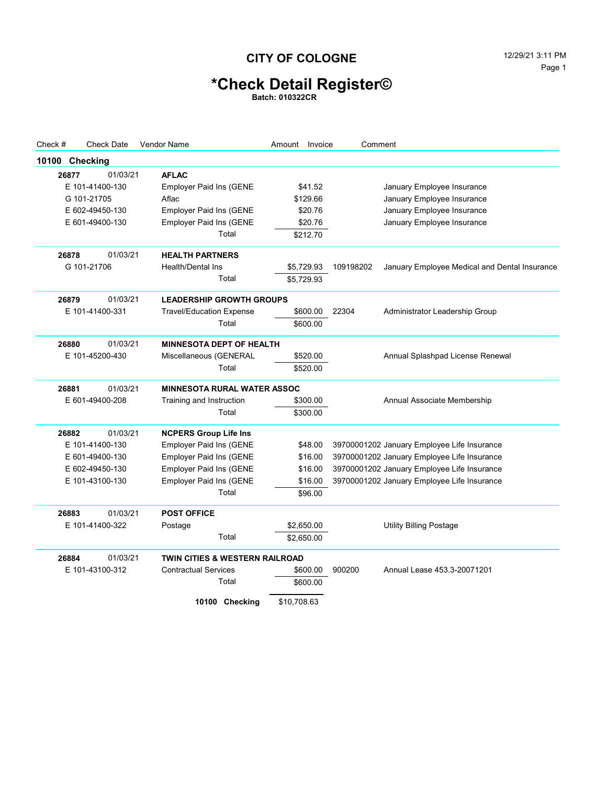## **CITY OF COLOGNE** 12/29/21 3:11 PM

# **\*Check Detail Register©**

**Batch: 010322CR**

| Check #        |       | <b>Check Date</b> | Vendor Name                        | Amount      | Invoice |           | Comment                                       |
|----------------|-------|-------------------|------------------------------------|-------------|---------|-----------|-----------------------------------------------|
| 10100 Checking |       |                   |                                    |             |         |           |                                               |
|                | 26877 | 01/03/21          | <b>AFLAC</b>                       |             |         |           |                                               |
|                |       | E 101-41400-130   | <b>Employer Paid Ins (GENE</b>     |             | \$41.52 |           | January Employee Insurance                    |
|                |       | G 101-21705       | Aflac                              | \$129.66    |         |           | January Employee Insurance                    |
|                |       | E 602-49450-130   | <b>Employer Paid Ins (GENE</b>     |             | \$20.76 |           | January Employee Insurance                    |
|                |       | E 601-49400-130   | <b>Employer Paid Ins (GENE</b>     |             | \$20.76 |           | January Employee Insurance                    |
|                |       |                   | Total                              | \$212.70    |         |           |                                               |
|                | 26878 | 01/03/21          | <b>HEALTH PARTNERS</b>             |             |         |           |                                               |
|                |       | G 101-21706       | <b>Health/Dental Ins</b>           | \$5,729.93  |         | 109198202 | January Employee Medical and Dental Insurance |
|                |       |                   | Total                              | \$5,729.93  |         |           |                                               |
|                | 26879 | 01/03/21          | <b>LEADERSHIP GROWTH GROUPS</b>    |             |         |           |                                               |
|                |       | E 101-41400-331   | <b>Travel/Education Expense</b>    | \$600.00    |         | 22304     | Administrator Leadership Group                |
|                |       |                   | Total                              | \$600.00    |         |           |                                               |
|                | 26880 | 01/03/21          | <b>MINNESOTA DEPT OF HEALTH</b>    |             |         |           |                                               |
|                |       | E 101-45200-430   | Miscellaneous (GENERAL             | \$520.00    |         |           | Annual Splashpad License Renewal              |
|                |       |                   | Total                              | \$520.00    |         |           |                                               |
|                | 26881 | 01/03/21          | <b>MINNESOTA RURAL WATER ASSOC</b> |             |         |           |                                               |
|                |       | E 601-49400-208   | Training and Instruction           | \$300.00    |         |           | Annual Associate Membership                   |
|                |       |                   | Total                              | \$300.00    |         |           |                                               |
|                | 26882 | 01/03/21          | <b>NCPERS Group Life Ins</b>       |             |         |           |                                               |
|                |       | E 101-41400-130   | <b>Employer Paid Ins (GENE</b>     |             | \$48.00 |           | 39700001202 January Employee Life Insurance   |
|                |       | E 601-49400-130   | <b>Employer Paid Ins (GENE</b>     |             | \$16.00 |           | 39700001202 January Employee Life Insurance   |
|                |       | E 602-49450-130   | <b>Employer Paid Ins (GENE</b>     |             | \$16.00 |           | 39700001202 January Employee Life Insurance   |
|                |       | E 101-43100-130   | <b>Employer Paid Ins (GENE</b>     |             | \$16.00 |           | 39700001202 January Employee Life Insurance   |
|                |       |                   | Total                              | \$96.00     |         |           |                                               |
|                | 26883 | 01/03/21          | <b>POST OFFICE</b>                 |             |         |           |                                               |
|                |       | E 101-41400-322   | Postage                            | \$2,650.00  |         |           | Utility Billing Postage                       |
|                |       |                   | Total                              | \$2,650.00  |         |           |                                               |
|                | 26884 | 01/03/21          | TWIN CITIES & WESTERN RAILROAD     |             |         |           |                                               |
|                |       | E 101-43100-312   | <b>Contractual Services</b>        | \$600.00    |         | 900200    | Annual Lease 453.3-20071201                   |
|                |       |                   | Total                              | \$600.00    |         |           |                                               |
|                |       |                   | 10100 Checking                     | \$10.708.63 |         |           |                                               |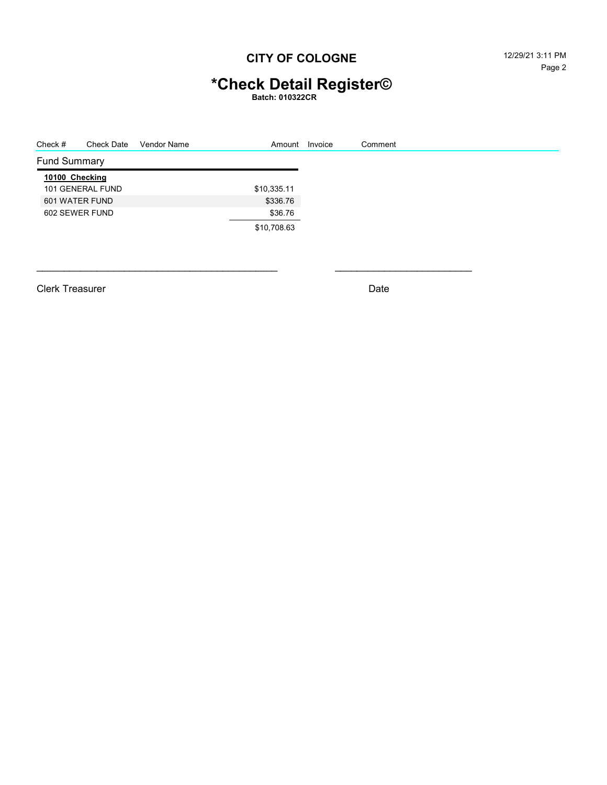## **CITY OF COLOGNE** 12/29/21 3:11 PM

# **\*Check Detail Register©**

**Batch: 010322CR**

| Check #             | <b>Check Date</b> | Vendor Name | Amount      | Invoice | Comment |
|---------------------|-------------------|-------------|-------------|---------|---------|
| <b>Fund Summary</b> |                   |             |             |         |         |
| 10100 Checking      |                   |             |             |         |         |
|                     | 101 GENERAL FUND  |             | \$10,335.11 |         |         |
| 601 WATER FUND      |                   |             | \$336.76    |         |         |
| 602 SEWER FUND      |                   |             | \$36.76     |         |         |
|                     |                   |             | \$10,708.63 |         |         |

Clerk Treasurer **Date**